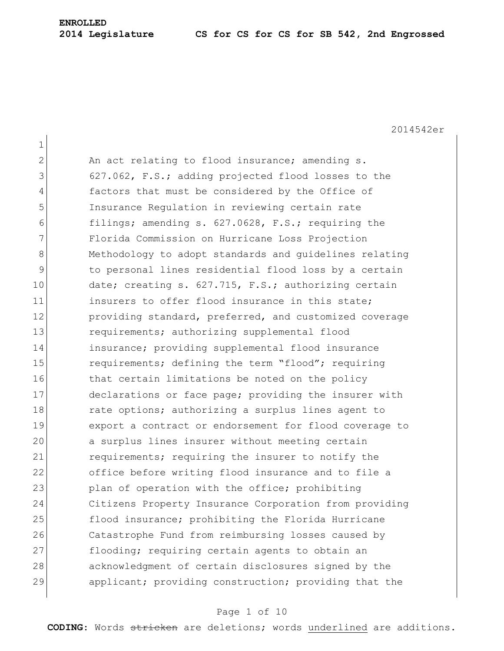# **ENROLLED**

### **2014 Legislature CS for CS for CS for SB 542, 2nd Engrossed**

2014542er

1 2 An act relating to flood insurance; amending s. 3 627.062, F.S.; adding projected flood losses to the 4 factors that must be considered by the Office of 5 Insurance Regulation in reviewing certain rate 6 filings; amending s. 627.0628, F.S.; requiring the 7 Florida Commission on Hurricane Loss Projection 8 Methodology to adopt standards and quidelines relating 9 to personal lines residential flood loss by a certain 10 date; creating s. 627.715, F.S.; authorizing certain 11 insurers to offer flood insurance in this state: 12 providing standard, preferred, and customized coverage 13 requirements; authorizing supplemental flood 14 insurance; providing supplemental flood insurance 15 requirements; defining the term "flood"; requiring 16 that certain limitations be noted on the policy 17 declarations or face page; providing the insurer with 18 rate options; authorizing a surplus lines agent to 19 export a contract or endorsement for flood coverage to 20 a surplus lines insurer without meeting certain 21 requirements; requiring the insurer to notify the 22 office before writing flood insurance and to file a 23 plan of operation with the office; prohibiting 24 Citizens Property Insurance Corporation from providing 25 flood insurance; prohibiting the Florida Hurricane 26 Catastrophe Fund from reimbursing losses caused by 27 flooding; requiring certain agents to obtain an 28 acknowledgment of certain disclosures signed by the 29 applicant; providing construction; providing that the

### Page 1 of 10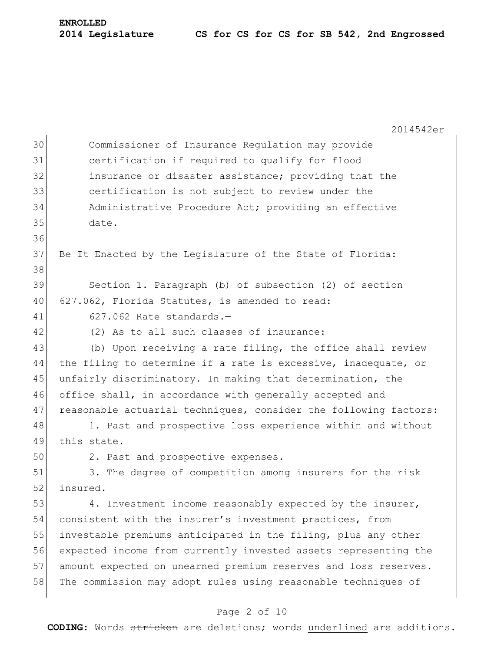2014542er Commissioner of Insurance Regulation may provide certification if required to qualify for flood insurance or disaster assistance; providing that the certification is not subject to review under the Administrative Procedure Act; providing an effective date. 37 Be It Enacted by the Legislature of the State of Florida: Section 1. Paragraph (b) of subsection (2) of section 627.062, Florida Statutes, is amended to read: 627.062 Rate standards.— (2) As to all such classes of insurance: 43 (b) Upon receiving a rate filing, the office shall review 44 the filing to determine if a rate is excessive, inadequate, or unfairly discriminatory. In making that determination, the 46 office shall, in accordance with generally accepted and 47 reasonable actuarial techniques, consider the following factors: 48 1. Past and prospective loss experience within and without this state. 50 2. Past and prospective expenses. 3. The degree of competition among insurers for the risk insured. 53 4. Investment income reasonably expected by the insurer, consistent with the insurer's investment practices, from investable premiums anticipated in the filing, plus any other expected income from currently invested assets representing the amount expected on unearned premium reserves and loss reserves. The commission may adopt rules using reasonable techniques of

## Page 2 of 10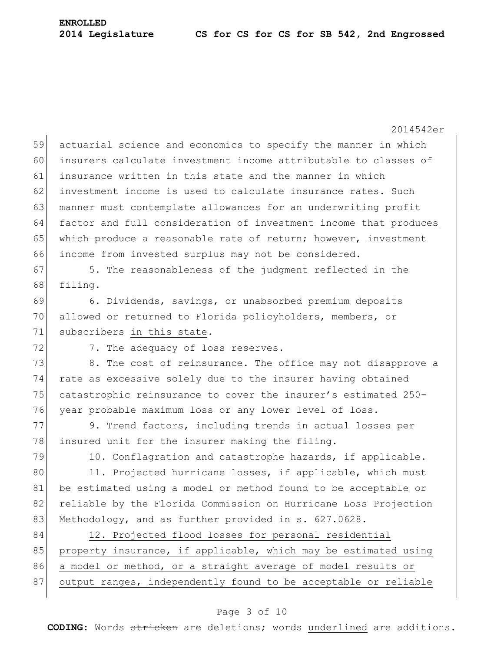2014542er 59 actuarial science and economics to specify the manner in which 60 insurers calculate investment income attributable to classes of 61 insurance written in this state and the manner in which 62 investment income is used to calculate insurance rates. Such 63 manner must contemplate allowances for an underwriting profit 64 factor and full consideration of investment income that produces 65 which produce a reasonable rate of return; however, investment 66 income from invested surplus may not be considered. 67 5. The reasonableness of the judgment reflected in the 68 filing. 69 6. Dividends, savings, or unabsorbed premium deposits 70 allowed or returned to Florida policyholders, members, or 71 subscribers in this state. 72 7. The adequacy of loss reserves. 73 8. The cost of reinsurance. The office may not disapprove a 74 rate as excessive solely due to the insurer having obtained 75 catastrophic reinsurance to cover the insurer's estimated 250-76 year probable maximum loss or any lower level of loss. 77 9. Trend factors, including trends in actual losses per 78 insured unit for the insurer making the filing. 79 10. Conflagration and catastrophe hazards, if applicable. 80 11. Projected hurricane losses, if applicable, which must 81 be estimated using a model or method found to be acceptable or 82 reliable by the Florida Commission on Hurricane Loss Projection 83 Methodology, and as further provided in s. 627.0628. 84 12. Projected flood losses for personal residential 85 property insurance, if applicable, which may be estimated using 86 a model or method, or a straight average of model results or 87 output ranges, independently found to be acceptable or reliable

### Page 3 of 10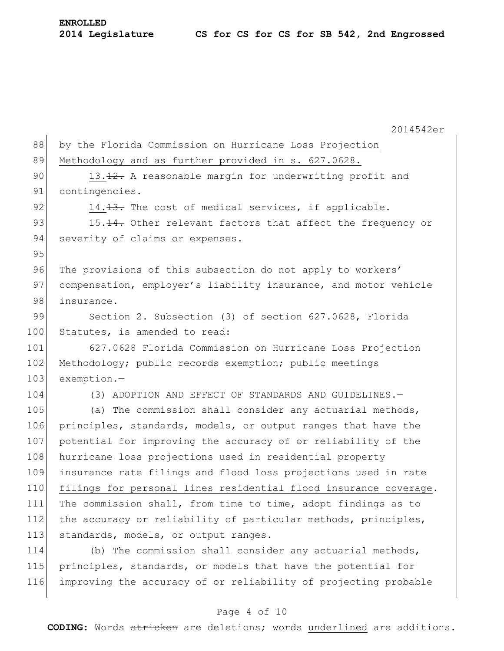2014542er 88 by the Florida Commission on Hurricane Loss Projection 89 Methodology and as further provided in s. 627.0628. 90 13.12. A reasonable margin for underwriting profit and 91 contingencies. 92 14.13. The cost of medical services, if applicable. 93 15.14. Other relevant factors that affect the frequency or 94 severity of claims or expenses. 95 96 The provisions of this subsection do not apply to workers' 97 compensation, employer's liability insurance, and motor vehicle 98 insurance. 99 Section 2. Subsection (3) of section 627.0628, Florida 100 Statutes, is amended to read: 101 627.0628 Florida Commission on Hurricane Loss Projection 102 Methodology; public records exemption; public meetings 103 exemption.-104 (3) ADOPTION AND EFFECT OF STANDARDS AND GUIDELINES.— 105 (a) The commission shall consider any actuarial methods, 106 principles, standards, models, or output ranges that have the 107 potential for improving the accuracy of or reliability of the 108 hurricane loss projections used in residential property 109 insurance rate filings and flood loss projections used in rate 110 filings for personal lines residential flood insurance coverage. 111 The commission shall, from time to time, adopt findings as to 112 the accuracy or reliability of particular methods, principles, 113 standards, models, or output ranges. 114 (b) The commission shall consider any actuarial methods, 115 principles, standards, or models that have the potential for 116 improving the accuracy of or reliability of projecting probable

#### Page 4 of 10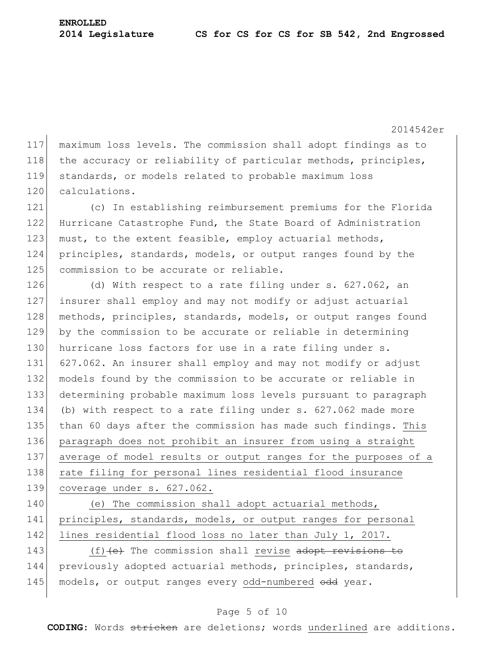2014542er

117 maximum loss levels. The commission shall adopt findings as to 118 the accuracy or reliability of particular methods, principles, 119 standards, or models related to probable maximum loss 120 calculations.

121 (c) In establishing reimbursement premiums for the Florida 122 Hurricane Catastrophe Fund, the State Board of Administration 123 must, to the extent feasible, employ actuarial methods, 124 principles, standards, models, or output ranges found by the 125 commission to be accurate or reliable.

126 (d) With respect to a rate filing under s.  $627.062$ , an insurer shall employ and may not modify or adjust actuarial 128 methods, principles, standards, models, or output ranges found by the commission to be accurate or reliable in determining 130 hurricane loss factors for use in a rate filing under s. 627.062. An insurer shall employ and may not modify or adjust models found by the commission to be accurate or reliable in determining probable maximum loss levels pursuant to paragraph 134 (b) with respect to a rate filing under s. 627.062 made more than 60 days after the commission has made such findings. This paragraph does not prohibit an insurer from using a straight average of model results or output ranges for the purposes of a 138 rate filing for personal lines residential flood insurance coverage under s. 627.062.

140 (e) The commission shall adopt actuarial methods, 141 principles, standards, models, or output ranges for personal 142 lines residential flood loss no later than July 1, 2017.

143 (f)<del>(e)</del> The commission shall revise adopt revisions to 144 previously adopted actuarial methods, principles, standards, 145 models, or output ranges every odd-numbered odd year.

## Page 5 of 10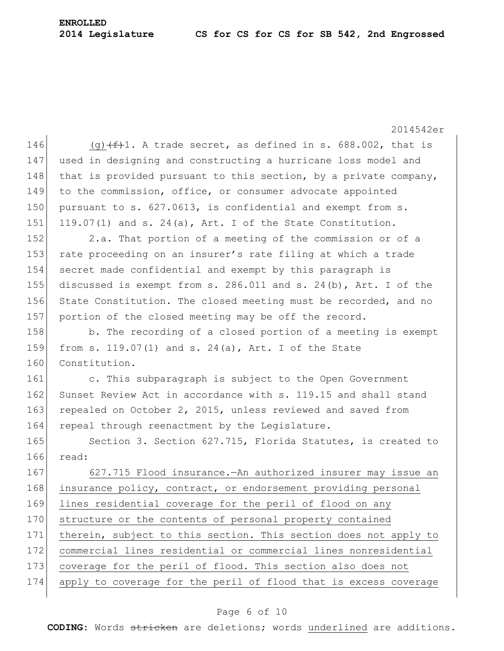# **ENROLLED**

### **2014 Legislature CS for CS for CS for SB 542, 2nd Engrossed**

2014542er 146 (g)  $(f+1)$ . A trade secret, as defined in s. 688.002, that is 147 used in designing and constructing a hurricane loss model and 148 that is provided pursuant to this section, by a private company, 149 to the commission, office, or consumer advocate appointed 150 pursuant to s. 627.0613, is confidential and exempt from s. 151 119.07(1) and s. 24(a), Art. I of the State Constitution. 152 2.a. That portion of a meeting of the commission or of a 153 rate proceeding on an insurer's rate filing at which a trade 154 secret made confidential and exempt by this paragraph is 155 discussed is exempt from s. 286.011 and s. 24(b), Art. I of the 156 State Constitution. The closed meeting must be recorded, and no 157 portion of the closed meeting may be off the record. 158 b. The recording of a closed portion of a meeting is exempt 159 from s. 119.07(1) and s. 24(a), Art. I of the State 160 Constitution. 161 c. This subparagraph is subject to the Open Government 162 Sunset Review Act in accordance with s. 119.15 and shall stand 163 repealed on October 2, 2015, unless reviewed and saved from 164 repeal through reenactment by the Legislature. 165 Section 3. Section 627.715, Florida Statutes, is created to 166 read: 167 627.715 Flood insurance.—An authorized insurer may issue an 168 insurance policy, contract, or endorsement providing personal 169 lines residential coverage for the peril of flood on any 170 structure or the contents of personal property contained 171 therein, subject to this section. This section does not apply to 172 commercial lines residential or commercial lines nonresidential 173 coverage for the peril of flood. This section also does not 174 apply to coverage for the peril of flood that is excess coverage

## Page 6 of 10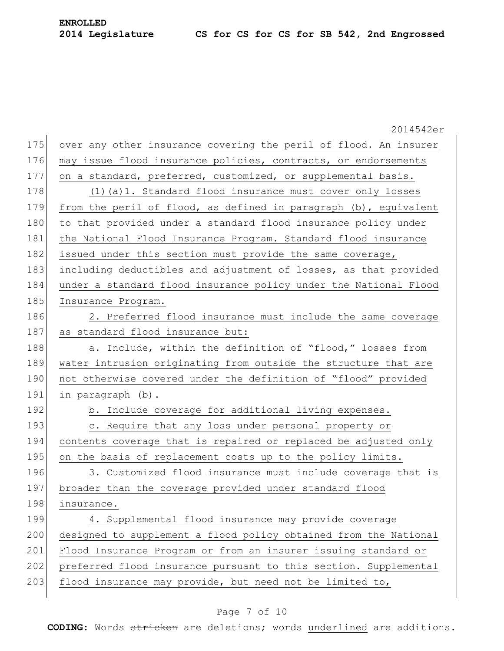|     | 2014542er                                                        |
|-----|------------------------------------------------------------------|
| 175 | over any other insurance covering the peril of flood. An insurer |
| 176 | may issue flood insurance policies, contracts, or endorsements   |
| 177 | on a standard, preferred, customized, or supplemental basis.     |
| 178 | $(1)$ (a) 1. Standard flood insurance must cover only losses     |
| 179 | from the peril of flood, as defined in paragraph (b), equivalent |
| 180 | to that provided under a standard flood insurance policy under   |
| 181 | the National Flood Insurance Program. Standard flood insurance   |
| 182 | issued under this section must provide the same coverage,        |
| 183 | including deductibles and adjustment of losses, as that provided |
| 184 | under a standard flood insurance policy under the National Flood |
| 185 | Insurance Program.                                               |
| 186 | 2. Preferred flood insurance must include the same coverage      |
| 187 | as standard flood insurance but:                                 |
| 188 | a. Include, within the definition of "flood," losses from        |
| 189 | water intrusion originating from outside the structure that are  |
| 190 | not otherwise covered under the definition of "flood" provided   |
| 191 | in paragraph (b).                                                |
| 192 | b. Include coverage for additional living expenses.              |
| 193 | c. Require that any loss under personal property or              |
| 194 | contents coverage that is repaired or replaced be adjusted only  |
| 195 | on the basis of replacement costs up to the policy limits.       |
| 196 | 3. Customized flood insurance must include coverage that is      |
| 197 | broader than the coverage provided under standard flood          |
| 198 | insurance.                                                       |
| 199 | 4. Supplemental flood insurance may provide coverage             |
| 200 | designed to supplement a flood policy obtained from the National |
| 201 | Flood Insurance Program or from an insurer issuing standard or   |
| 202 | preferred flood insurance pursuant to this section. Supplemental |
| 203 | flood insurance may provide, but need not be limited to,         |
|     |                                                                  |

## Page 7 of 10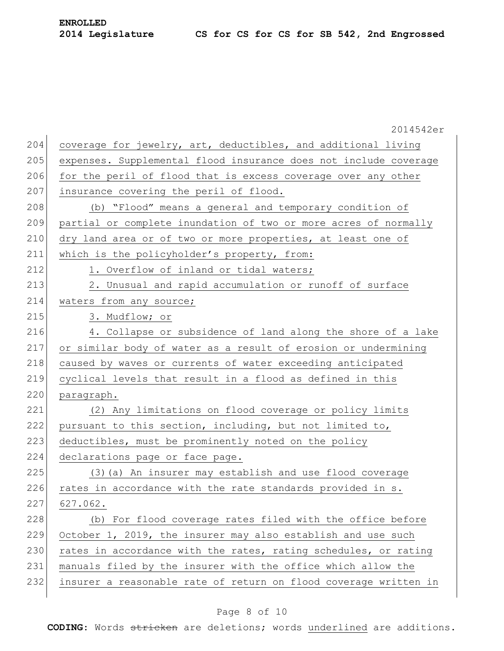|     | 2014542er                                                        |
|-----|------------------------------------------------------------------|
| 204 | coverage for jewelry, art, deductibles, and additional living    |
| 205 | expenses. Supplemental flood insurance does not include coverage |
| 206 | for the peril of flood that is excess coverage over any other    |
| 207 | insurance covering the peril of flood.                           |
| 208 | (b) "Flood" means a general and temporary condition of           |
| 209 | partial or complete inundation of two or more acres of normally  |
| 210 | dry land area or of two or more properties, at least one of      |
| 211 | which is the policyholder's property, from:                      |
| 212 | 1. Overflow of inland or tidal waters;                           |
| 213 | 2. Unusual and rapid accumulation or runoff of surface           |
| 214 | waters from any source;                                          |
| 215 | 3. Mudflow; or                                                   |
| 216 | 4. Collapse or subsidence of land along the shore of a lake      |
| 217 | or similar body of water as a result of erosion or undermining   |
| 218 | caused by waves or currents of water exceeding anticipated       |
| 219 | cyclical levels that result in a flood as defined in this        |
| 220 | paragraph.                                                       |
| 221 | (2) Any limitations on flood coverage or policy limits           |
| 222 | pursuant to this section, including, but not limited to,         |
| 223 | deductibles, must be prominently noted on the policy             |
| 224 | declarations page or face page.                                  |
| 225 | (3) (a) An insurer may establish and use flood coverage          |
| 226 | rates in accordance with the rate standards provided in s.       |
| 227 | 627.062.                                                         |
| 228 | (b) For flood coverage rates filed with the office before        |
| 229 | October 1, 2019, the insurer may also establish and use such     |
| 230 | rates in accordance with the rates, rating schedules, or rating  |
| 231 | manuals filed by the insurer with the office which allow the     |
| 232 | insurer a reasonable rate of return on flood coverage written in |
|     |                                                                  |

## Page 8 of 10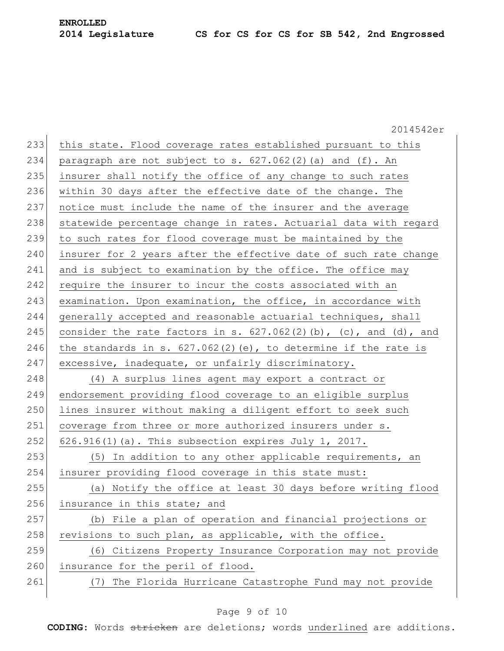|     | 2014542er                                                           |
|-----|---------------------------------------------------------------------|
| 233 | this state. Flood coverage rates established pursuant to this       |
| 234 | paragraph are not subject to s. $627.062(2)$ (a) and (f). An        |
| 235 | insurer shall notify the office of any change to such rates         |
| 236 | within 30 days after the effective date of the change. The          |
| 237 | notice must include the name of the insurer and the average         |
| 238 | statewide percentage change in rates. Actuarial data with regard    |
| 239 | to such rates for flood coverage must be maintained by the          |
| 240 | insurer for 2 years after the effective date of such rate change    |
| 241 | and is subject to examination by the office. The office may         |
| 242 | require the insurer to incur the costs associated with an           |
| 243 | examination. Upon examination, the office, in accordance with       |
| 244 | generally accepted and reasonable actuarial techniques, shall       |
| 245 | consider the rate factors in s. $627.062(2)(b)$ , (c), and (d), and |
| 246 | the standards in s. $627.062(2)(e)$ , to determine if the rate is   |
| 247 | excessive, inadequate, or unfairly discriminatory.                  |
| 248 | (4) A surplus lines agent may export a contract or                  |
| 249 | endorsement providing flood coverage to an eligible surplus         |
| 250 | lines insurer without making a diligent effort to seek such         |
| 251 | coverage from three or more authorized insurers under s.            |
| 252 | 626.916(1)(a). This subsection expires July 1, 2017.                |
| 253 | (5) In addition to any other applicable requirements, an            |
| 254 | insurer providing flood coverage in this state must:                |
| 255 | (a) Notify the office at least 30 days before writing flood         |
| 256 | insurance in this state; and                                        |
| 257 | (b) File a plan of operation and financial projections or           |
| 258 | revisions to such plan, as applicable, with the office.             |
| 259 | (6) Citizens Property Insurance Corporation may not provide         |
| 260 | insurance for the peril of flood.                                   |
| 261 | The Florida Hurricane Catastrophe Fund may not provide<br>(7)       |
|     |                                                                     |

# Page 9 of 10